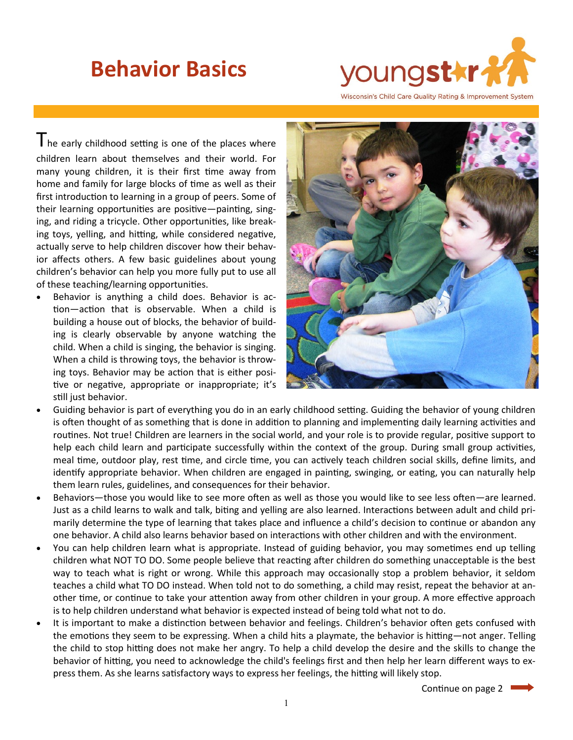## **Behavior Basics**



The early childhood setting is one of the places where children learn about themselves and their world. For many young children, it is their first time away from home and family for large blocks of time as well as their first introduction to learning in a group of peers. Some of their learning opportunities are positive—painting, singing, and riding a tricycle. Other opportunities, like breaking toys, yelling, and hitting, while considered negative, actually serve to help children discover how their behavior affects others. A few basic guidelines about young children's behavior can help you more fully put to use all of these teaching/learning opportunities.

• Behavior is anything a child does. Behavior is action—action that is observable. When a child is building a house out of blocks, the behavior of building is clearly observable by anyone watching the child. When a child is singing, the behavior is singing. When a child is throwing toys, the behavior is throwing toys. Behavior may be action that is either positive or negative, appropriate or inappropriate; it's still just behavior.



- Guiding behavior is part of everything you do in an early childhood setting. Guiding the behavior of young children is often thought of as something that is done in addition to planning and implementing daily learning activities and routines. Not true! Children are learners in the social world, and your role is to provide regular, positive support to help each child learn and participate successfully within the context of the group. During small group activities, meal time, outdoor play, rest time, and circle time, you can actively teach children social skills, define limits, and identify appropriate behavior. When children are engaged in painting, swinging, or eating, you can naturally help them learn rules, guidelines, and consequences for their behavior.
- Behaviors—those you would like to see more often as well as those you would like to see less often—are learned. Just as a child learns to walk and talk, biting and yelling are also learned. Interactions between adult and child primarily determine the type of learning that takes place and influence a child's decision to continue or abandon any one behavior. A child also learns behavior based on interactions with other children and with the environment.
- You can help children learn what is appropriate. Instead of guiding behavior, you may sometimes end up telling children what NOT TO DO. Some people believe that reacting after children do something unacceptable is the best way to teach what is right or wrong. While this approach may occasionally stop a problem behavior, it seldom teaches a child what TO DO instead. When told not to do something, a child may resist, repeat the behavior at another time, or continue to take your attention away from other children in your group. A more effective approach is to help children understand what behavior is expected instead of being told what not to do.
- It is important to make a distinction between behavior and feelings. Children's behavior often gets confused with the emotions they seem to be expressing. When a child hits a playmate, the behavior is hitting—not anger. Telling the child to stop hitting does not make her angry. To help a child develop the desire and the skills to change the behavior of hitting, you need to acknowledge the child's feelings first and then help her learn different ways to express them. As she learns satisfactory ways to express her feelings, the hitting will likely stop.

Continue on page 2